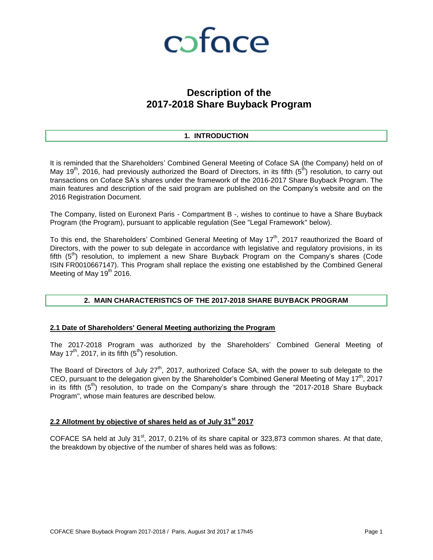

### **Description of the 2017-2018 Share Buyback Program**

#### **1. INTRODUCTION**

It is reminded that the Shareholders' Combined General Meeting of Coface SA (the Company) held on of May 19<sup>th</sup>, 2016, had previously authorized the Board of Directors, in its fifth (5<sup>th</sup>) resolution, to carry out transactions on Coface SA's shares under the framework of the 2016-2017 Share Buyback Program. The main features and description of the said program are published on the Company's website and on the 2016 Registration Document.

The Company, listed on Euronext Paris - Compartment B -, wishes to continue to have a Share Buyback Program (the Program), pursuant to applicable regulation (See "Legal Framework" below).

To this end, the Shareholders' Combined General Meeting of May  $17<sup>th</sup>$ , 2017 reauthorized the Board of Directors, with the power to sub delegate in accordance with legislative and regulatory provisions, in its fifth  $(5<sup>th</sup>)$  resolution, to implement a new Share Buyback Program on the Company's shares (Code ISIN FR0010667147). This Program shall replace the existing one established by the Combined General Meeting of May 19<sup>th</sup> 2016.

#### **2. MAIN CHARACTERISTICS OF THE 2017-2018 SHARE BUYBACK PROGRAM**

#### **2.1 Date of Shareholders' General Meeting authorizing the Program**

The 2017-2018 Program was authorized by the Shareholders' Combined General Meeting of May 17<sup>th</sup>, 2017, in its fifth  $(5<sup>th</sup>)$  resolution.

The Board of Directors of July 27<sup>th</sup>, 2017, authorized Coface SA, with the power to sub delegate to the CEO, pursuant to the delegation given by the Shareholder's Combined General Meeting of May 17<sup>th</sup>, 2017 in its fifth  $(5<sup>th</sup>)$  resolution, to trade on the Company's share through the "2017-2018 Share Buyback Program", whose main features are described below.

#### **2.2 Allotment by objective of shares held as of July 31st 2017**

COFACE SA held at July 31<sup>st</sup>, 2017, 0.21% of its share capital or 323,873 common shares. At that date, the breakdown by objective of the number of shares held was as follows: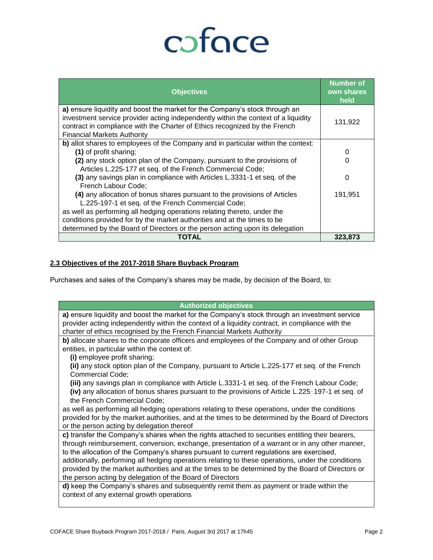# coface

| <b>Objectives</b>                                                                                                                                                                                                                                                                     | <b>Number of</b><br>own shares<br>held |
|---------------------------------------------------------------------------------------------------------------------------------------------------------------------------------------------------------------------------------------------------------------------------------------|----------------------------------------|
| a) ensure liquidity and boost the market for the Company's stock through an<br>investment service provider acting independently within the context of a liquidity<br>contract in compliance with the Charter of Ethics recognized by the French<br><b>Financial Markets Authority</b> | 131,922                                |
| b) allot shares to employees of the Company and in particular within the context:                                                                                                                                                                                                     |                                        |
| (1) of profit sharing;                                                                                                                                                                                                                                                                | 0                                      |
| (2) any stock option plan of the Company, pursuant to the provisions of<br>Articles L.225-177 et seq. of the French Commercial Code;                                                                                                                                                  | 0                                      |
| (3) any savings plan in compliance with Articles L.3331-1 et seq. of the<br>French Labour Code:                                                                                                                                                                                       | 0                                      |
| (4) any allocation of bonus shares pursuant to the provisions of Articles<br>L.225-197-1 et seq. of the French Commercial Code;                                                                                                                                                       | 191,951                                |
| as well as performing all hedging operations relating thereto, under the                                                                                                                                                                                                              |                                        |
| conditions provided for by the market authorities and at the times to be                                                                                                                                                                                                              |                                        |
| determined by the Board of Directors or the person acting upon its delegation                                                                                                                                                                                                         |                                        |
| TOTAL                                                                                                                                                                                                                                                                                 | 323,873                                |

#### **2.3 Objectives of the 2017-2018 Share Buyback Program**

Purchases and sales of the Company's shares may be made, by decision of the Board, to:

| <b>Authorized objectives</b>                                                                                                                                                                       |
|----------------------------------------------------------------------------------------------------------------------------------------------------------------------------------------------------|
| a) ensure liquidity and boost the market for the Company's stock through an investment service<br>provider acting independently within the context of a liquidity contract, in compliance with the |
| charter of ethics recognised by the French Financial Markets Authority                                                                                                                             |
| b) allocate shares to the corporate officers and employees of the Company and of other Group                                                                                                       |
| entities, in particular within the context of:                                                                                                                                                     |
| (i) employee profit sharing;                                                                                                                                                                       |
| (ii) any stock option plan of the Company, pursuant to Article L.225-177 et seq. of the French                                                                                                     |
| <b>Commercial Code;</b>                                                                                                                                                                            |
| (iii) any savings plan in compliance with Article L.3331-1 et seq. of the French Labour Code;                                                                                                      |
| (iv) any allocation of bonus shares pursuant to the provisions of Article L.225-197-1 et seq. of                                                                                                   |
| the French Commercial Code;                                                                                                                                                                        |
| as well as performing all hedging operations relating to these operations, under the conditions                                                                                                    |
| provided for by the market authorities, and at the times to be determined by the Board of Directors                                                                                                |
| or the person acting by delegation thereof                                                                                                                                                         |
| c) transfer the Company's shares when the rights attached to securities entitling their bearers,                                                                                                   |
| through reimbursement, conversion, exchange, presentation of a warrant or in any other manner,                                                                                                     |
| to the allocation of the Company's shares pursuant to current regulations are exercised,                                                                                                           |
| additionally, performing all hedging operations relating to these operations, under the conditions                                                                                                 |
| provided by the market authorities and at the times to be determined by the Board of Directors or                                                                                                  |
| the person acting by delegation of the Board of Directors                                                                                                                                          |
| d) keep the Company's shares and subsequently remit them as payment or trade within the                                                                                                            |
| context of any external growth operations                                                                                                                                                          |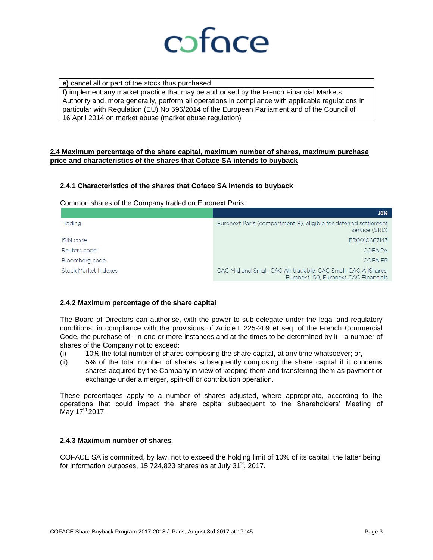

**e)** cancel all or part of the stock thus purchased

**f)** implement any market practice that may be authorised by the French Financial Markets Authority and, more generally, perform all operations in compliance with applicable regulations in particular with Regulation (EU) No 596/2014 of the European Parliament and of the Council of 16 April 2014 on market abuse (market abuse regulation)

#### **2.4 Maximum percentage of the share capital, maximum number of shares, maximum purchase price and characteristics of the shares that Coface SA intends to buyback**

#### **2.4.1 Characteristics of the shares that Coface SA intends to buyback**

| Common shares of the Company traded on Euronext Paris: |  |  |  |  |
|--------------------------------------------------------|--|--|--|--|
|                                                        |  |  |  |  |

|                             | 2016                                                                                                    |
|-----------------------------|---------------------------------------------------------------------------------------------------------|
| Trading                     | Euronext Paris (compartment B), eligible for deferred settlement<br>service (SRD)                       |
| ISIN code                   | FR0010667147                                                                                            |
| Reuters code                | COFA PA                                                                                                 |
| Bloomberg code              | COFA FP                                                                                                 |
| <b>Stock Market Indexes</b> | CAC Mid and Small, CAC All-tradable, CAC Small, CAC AllShares,<br>Euronext 150, Euronext CAC Financials |

#### **2.4.2 Maximum percentage of the share capital**

The Board of Directors can authorise, with the power to sub-delegate under the legal and regulatory conditions, in compliance with the provisions of Article L.225-209 et seq. of the French Commercial Code, the purchase of –in one or more instances and at the times to be determined by it - a number of shares of the Company not to exceed:

- (i) 10% the total number of shares composing the share capital, at any time whatsoever; or,
- (ii) 5% of the total number of shares subsequently composing the share capital if it concerns shares acquired by the Company in view of keeping them and transferring them as payment or exchange under a merger, spin-off or contribution operation.

These percentages apply to a number of shares adjusted, where appropriate, according to the operations that could impact the share capital subsequent to the Shareholders' Meeting of May  $17^{th}$  2017.

#### **2.4.3 Maximum number of shares**

COFACE SA is committed, by law, not to exceed the holding limit of 10% of its capital, the latter being, for information purposes, 15,724,823 shares as at July 31 $^{\rm st}$ , 2017.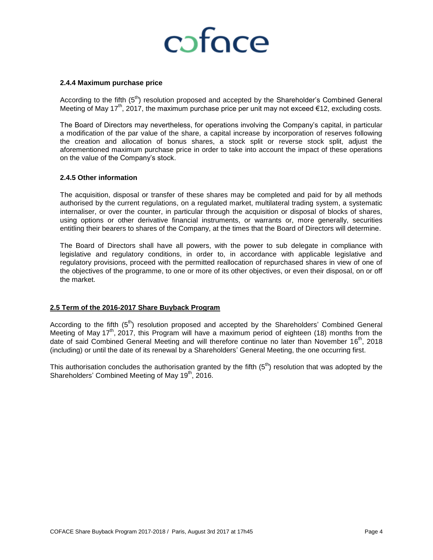### coface

#### **2.4.4 Maximum purchase price**

According to the fifth (5<sup>th</sup>) resolution proposed and accepted by the Shareholder's Combined General Meeting of May 17<sup>th</sup>, 2017, the maximum purchase price per unit may not exceed €12, excluding costs.

The Board of Directors may nevertheless, for operations involving the Company's capital, in particular a modification of the par value of the share, a capital increase by incorporation of reserves following the creation and allocation of bonus shares, a stock split or reverse stock split, adjust the aforementioned maximum purchase price in order to take into account the impact of these operations on the value of the Company's stock.

#### **2.4.5 Other information**

The acquisition, disposal or transfer of these shares may be completed and paid for by all methods authorised by the current regulations, on a regulated market, multilateral trading system, a systematic internaliser, or over the counter, in particular through the acquisition or disposal of blocks of shares, using options or other derivative financial instruments, or warrants or, more generally, securities entitling their bearers to shares of the Company, at the times that the Board of Directors will determine.

The Board of Directors shall have all powers, with the power to sub delegate in compliance with legislative and regulatory conditions, in order to, in accordance with applicable legislative and regulatory provisions, proceed with the permitted reallocation of repurchased shares in view of one of the objectives of the programme, to one or more of its other objectives, or even their disposal, on or off the market.

#### **2.5 Term of the 2016-2017 Share Buyback Program**

According to the fifth  $(5<sup>th</sup>)$  resolution proposed and accepted by the Shareholders' Combined General Meeting of May 17<sup>th</sup>, 2017, this Program will have a maximum period of eighteen (18) months from the date of said Combined General Meeting and will therefore continue no later than November 16<sup>th</sup>, 2018 (including) or until the date of its renewal by a Shareholders' General Meeting, the one occurring first.

This authorisation concludes the authorisation granted by the fifth  $(5<sup>th</sup>)$  resolution that was adopted by the Shareholders' Combined Meeting of May  $19<sup>th</sup>$ , 2016.